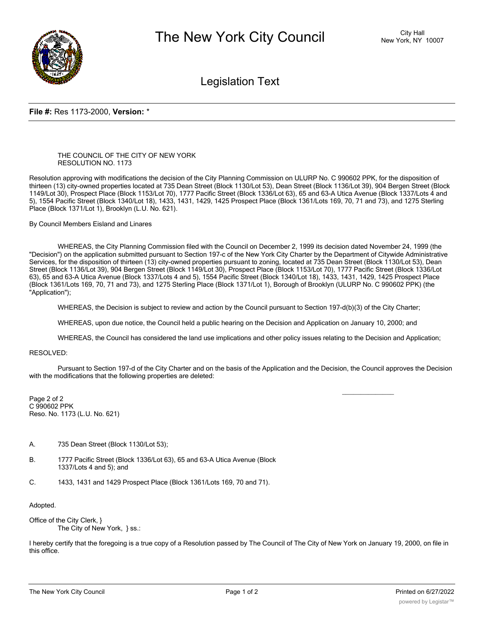

Legislation Text

## **File #:** Res 1173-2000, **Version:** \*

## THE COUNCIL OF THE CITY OF NEW YORK RESOLUTION NO. 1173

Resolution approving with modifications the decision of the City Planning Commission on ULURP No. C 990602 PPK, for the disposition of thirteen (13) city-owned properties located at 735 Dean Street (Block 1130/Lot 53), Dean Street (Block 1136/Lot 39), 904 Bergen Street (Block 1149/Lot 30), Prospect Place (Block 1153/Lot 70), 1777 Pacific Street (Block 1336/Lot 63), 65 and 63-A Utica Avenue (Block 1337/Lots 4 and 5), 1554 Pacific Street (Block 1340/Lot 18), 1433, 1431, 1429, 1425 Prospect Place (Block 1361/Lots 169, 70, 71 and 73), and 1275 Sterling Place (Block 1371/Lot 1), Brooklyn (L.U. No. 621).

By Council Members Eisland and Linares

WHEREAS, the City Planning Commission filed with the Council on December 2, 1999 its decision dated November 24, 1999 (the "Decision") on the application submitted pursuant to Section 197-c of the New York City Charter by the Department of Citywide Administrative Services, for the disposition of thirteen (13) city-owned properties pursuant to zoning, located at 735 Dean Street (Block 1130/Lot 53), Dean Street (Block 1136/Lot 39), 904 Bergen Street (Block 1149/Lot 30), Prospect Place (Block 1153/Lot 70), 1777 Pacific Street (Block 1336/Lot 63), 65 and 63-A Utica Avenue (Block 1337/Lots 4 and 5), 1554 Pacific Street (Block 1340/Lot 18), 1433, 1431, 1429, 1425 Prospect Place (Block 1361/Lots 169, 70, 71 and 73), and 1275 Sterling Place (Block 1371/Lot 1), Borough of Brooklyn (ULURP No. C 990602 PPK) (the "Application");

WHEREAS, the Decision is subject to review and action by the Council pursuant to Section 197-d(b)(3) of the City Charter;

WHEREAS, upon due notice, the Council held a public hearing on the Decision and Application on January 10, 2000; and

WHEREAS, the Council has considered the land use implications and other policy issues relating to the Decision and Application;

## RESOLVED:

Pursuant to Section 197-d of the City Charter and on the basis of the Application and the Decision, the Council approves the Decision with the modifications that the following properties are deleted:

Page 2 of 2 C 990602 PPK Reso. No. 1173 (L.U. No. 621)

- A. 735 Dean Street (Block 1130/Lot 53);
- B. 1777 Pacific Street (Block 1336/Lot 63), 65 and 63-A Utica Avenue (Block 1337/Lots 4 and 5); and
- C. 1433, 1431 and 1429 Prospect Place (Block 1361/Lots 169, 70 and 71).

Adopted.

Office of the City Clerk, } The City of New York, } ss.:

I hereby certify that the foregoing is a true copy of a Resolution passed by The Council of The City of New York on January 19, 2000, on file in this office.

 $\overline{\phantom{a}}$